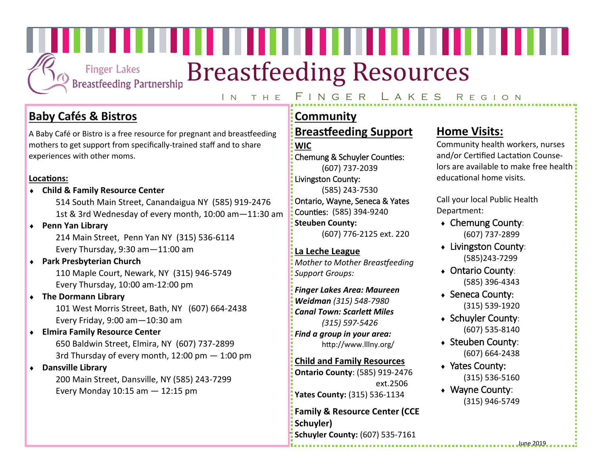**Finger Lakes Breastfeeding Partnership** 

# Breastfeeding Resources

,,,,,,,,,,,,,,,,,,,,,,,,,,,,,,,,,,,

## IN THE FINGER LAKES REGION

# **Baby Cafés & Bistros**

A Baby Café or Bistro is a free resource for pregnant and breastfeeding mothers to get support from specifically-trained staff and to share experiences with other moms.

#### **Locations:**

**Child & Family Resource Center**

514 South Main Street, Canandaigua NY (585) 919-2476 1st & 3rd Wednesday of every month, 10:00 am—11:30 am

**Penn Yan Library**

214 Main Street, Penn Yan NY (315) 536-6114 Every Thursday, 9:30 am—11:00 am

# **Park Presbyterian Church**

110 Maple Court, Newark, NY (315) 946-5749 Every Thursday, 10:00 am-12:00 pm

## **The Dormann Library**

101 West Morris Street, Bath, NY (607) 664-2438 Every Friday, 9:00 am—10:30 am

## **Elmira Family Resource Center**

650 Baldwin Street, Elmira, NY (607) 737-2899 3rd Thursday of every month, 12:00 pm — 1:00 pm

## **Dansville Library**

200 Main Street, Dansville, NY (585) 243-7299 Every Monday  $10:15$  am  $-12:15$  pm

## **Community Breastfeeding Support WIC**

Chemung & Schuyler Counties: (607) 737-2039

Livingston County: (585) 243-7530

Ontario, Wayne, Seneca & Yates Counties: (585) 394-9240 **Steuben County:** 

(607) 776-2125 ext. 220

## **La Leche League**

*Mother to Mother Breastfeeding Support Groups:*

## *Finger Lakes Area: Maureen*

*Weidman (315) 548-7980 Canal Town: Scarlett Miles (315) 597-5426*

*Find a group in your area:* http://www.lllny.org/

## **Child and Family Resources**

**Ontario County**: (585) 919-2476 ext.2506 **Yates County:** (315) 536-1134

**Family & Resource Center (CCE Schuyler) Schuyler County:** (607) 535-<sup>7161</sup>

# **Home Visits:**

Community health workers, nurses and/or Certified Lactation Counselors are available to make free health: educational home visits.

Call your local Public Health Department:

- Chemung County: (607) 737-2899
- Livingston County: (585)243-7299
- Ontario County: (585) 396-4343
- ◆ Seneca County: (315) 539-1920
- Schuyler County: (607) 535-8140
- Steuben County: (607) 664-2438
- ◆ Yates County: (315) 536-5160
- Wayne County: (315) 946-5749

June 2019